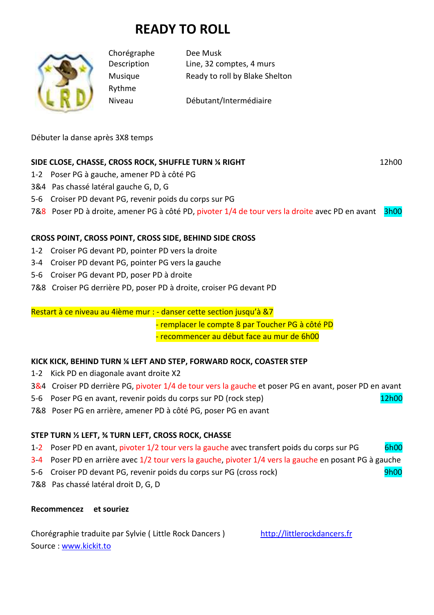# **READY TO ROLL**



Rythme

Chorégraphe Dee Musk Description Line, 32 comptes, 4 murs Musique Ready to roll by Blake Shelton

Niveau Débutant/Intermédiaire

Débuter la danse après 3X8 temps

## **SIDE CLOSE, CHASSE, CROSS ROCK, SHUFFLE TURN ¼ RIGHT**  $12h00$  12h00

- 1-2 Poser PG à gauche, amener PD à côté PG
- 3&4 Pas chassé latéral gauche G, D, G
- 5-6 Croiser PD devant PG, revenir poids du corps sur PG
- 7&8 Poser PD à droite, amener PG à côté PD, pivoter 1/4 de tour vers la droite avec PD en avant 3h00

## **CROSS POINT, CROSS POINT, CROSS SIDE, BEHIND SIDE CROSS**

- 1-2 Croiser PG devant PD, pointer PD vers la droite
- 3-4 Croiser PD devant PG, pointer PG vers la gauche
- 5-6 Croiser PG devant PD, poser PD à droite
- 7&8 Croiser PG derrière PD, poser PD à droite, croiser PG devant PD

Restart à ce niveau au 4ième mur : - danser cette section jusqu'à &7

- remplacer le compte 8 par Toucher PG à côté PD

- recommencer au début face au mur de 6h00

## **KICK KICK, BEHIND TURN ¼ LEFT AND STEP, FORWARD ROCK, COASTER STEP**

- 1-2 Kick PD en diagonale avant droite X2
- 3&4 Croiser PD derrière PG, pivoter 1/4 de tour vers la gauche et poser PG en avant, poser PD en avant
- 5-6 Poser PG en avant, revenir poids du corps sur PD (rock step)  $\frac{12h00}{\sqrt{12}}$
- 7&8 Poser PG en arrière, amener PD à côté PG, poser PG en avant

## **STEP TURN ½ LEFT, ¾ TURN LEFT, CROSS ROCK, CHASSE**

- 1-2 Poser PD en avant, pivoter 1/2 tour vers la gauche avec transfert poids du corps sur PG 6h00
- 3-4 Poser PD en arrière avec 1/2 tour vers la gauche, pivoter 1/4 vers la gauche en posant PG à gauche
- 5-6 Croiser PD devant PG, revenir poids du corps sur PG (cross rock) 9h00
- 7&8 Pas chassé latéral droit D, G, D

#### **Recommencez et souriez**

Chorégraphie traduite par Sylvie ( Little Rock Dancers ) http://littlerockdancers.fr Source : www.kickit.to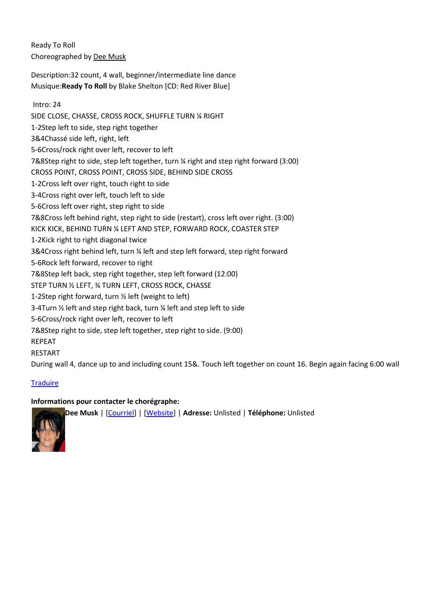Ready To Roll Choreographed by Dee Musk

Description:32 count, 4 wall, beginner/intermediate line dance Musique:**Ready To Roll** by Blake Shelton [CD: Red River Blue]

#### Intro: 24

SIDE CLOSE, CHASSE, CROSS ROCK, SHUFFLE TURN ¼ RIGHT 1-2Step left to side, step right together 3&4Chassé side left, right, left 5-6Cross/rock right over left, recover to left 7&8Step right to side, step left together, turn ¼ right and step right forward (3:00) CROSS POINT, CROSS POINT, CROSS SIDE, BEHIND SIDE CROSS 1-2Cross left over right, touch right to side 3-4Cross right over left, touch left to side 5-6Cross left over right, step right to side 7&8Cross left behind right, step right to side (restart), cross left over right. (3:00) KICK KICK, BEHIND TURN ¼ LEFT AND STEP, FORWARD ROCK, COASTER STEP 1-2Kick right to right diagonal twice 3&4Cross right behind left, turn ¼ left and step left forward, step right forward 5-6Rock left forward, recover to right 7&8Step left back, step right together, step left forward (12:00) STEP TURN ½ LEFT, ¾ TURN LEFT, CROSS ROCK, CHASSE 1-2Step right forward, turn ½ left (weight to left) 3-4Turn ½ left and step right back, turn ¼ left and step left to side 5-6Cross/rock right over left, recover to left 7&8Step right to side, step left together, step right to side. (9:00) REPEAT RESTART During wall 4, dance up to and including count 15&. Touch left together on count 16. Begin again facing 6:00 wall

## **Traduire**

## **Informations pour contacter le chorégraphe:**



**Dee Musk** | [Courriel] | [Website] | **Adresse:** Unlisted | **Téléphone:** Unlisted